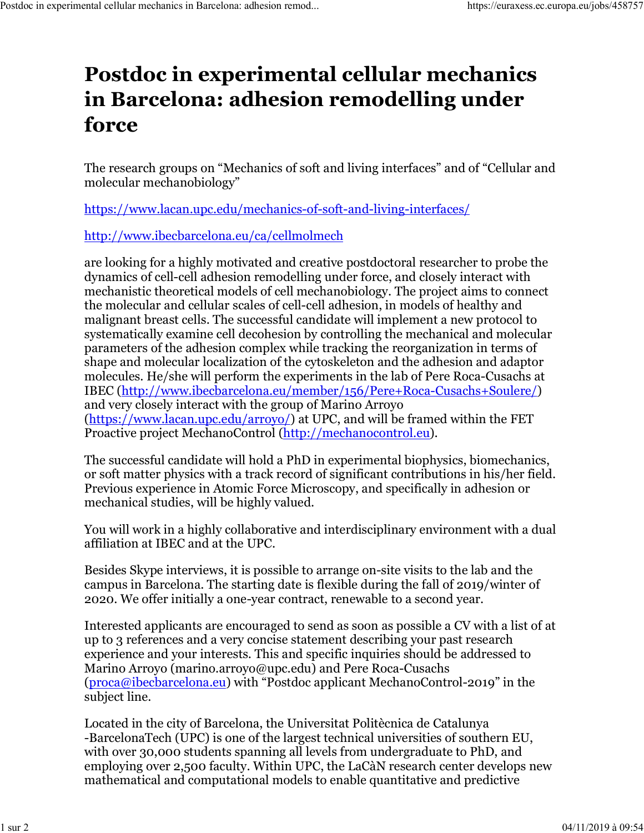## **Postdoc in experimental cellular mechanics in Barcelona: adhesion remodelling under force**

The research groups on "Mechanics of soft and living interfaces" and of "Cellular and molecular mechanobiology"

https://www.lacan.upc.edu/mechanics-of-soft-and-living-interfaces/

http://www.ibecbarcelona.eu/ca/cellmolmech

are looking for a highly motivated and creative postdoctoral researcher to probe the dynamics of cell-cell adhesion remodelling under force, and closely interact with mechanistic theoretical models of cell mechanobiology. The project aims to connect the molecular and cellular scales of cell-cell adhesion, in models of healthy and malignant breast cells. The successful candidate will implement a new protocol to systematically examine cell decohesion by controlling the mechanical and molecular parameters of the adhesion complex while tracking the reorganization in terms of shape and molecular localization of the cytoskeleton and the adhesion and adaptor molecules. He/she will perform the experiments in the lab of Pere Roca-Cusachs at IBEC (http://www.ibecbarcelona.eu/member/156/Pere+Roca-Cusachs+Soulere/) and very closely interact with the group of Marino Arroyo (https://www.lacan.upc.edu/arroyo/) at UPC, and will be framed within the FET Proactive project MechanoControl (http://mechanocontrol.eu).

The successful candidate will hold a PhD in experimental biophysics, biomechanics, or soft matter physics with a track record of significant contributions in his/her field. Previous experience in Atomic Force Microscopy, and specifically in adhesion or mechanical studies, will be highly valued.

You will work in a highly collaborative and interdisciplinary environment with a dual affiliation at IBEC and at the UPC.

Besides Skype interviews, it is possible to arrange on-site visits to the lab and the campus in Barcelona. The starting date is flexible during the fall of 2019/winter of 2020. We offer initially a one-year contract, renewable to a second year.

Interested applicants are encouraged to send as soon as possible a CV with a list of at up to 3 references and a very concise statement describing your past research experience and your interests. This and specific inquiries should be addressed to Marino Arroyo (marino.arroyo@upc.edu) and Pere Roca-Cusachs (proca@ibecbarcelona.eu) with "Postdoc applicant MechanoControl-2019" in the subject line.

Located in the city of Barcelona, the Universitat Politècnica de Catalunya -BarcelonaTech (UPC) is one of the largest technical universities of southern EU, with over 30,000 students spanning all levels from undergraduate to PhD, and employing over 2,500 faculty. Within UPC, the LaCàN research center develops new mathematical and computational models to enable quantitative and predictive